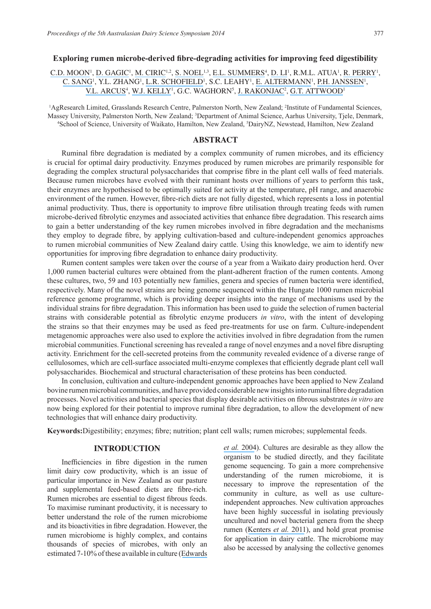#### **Exploring rumen microbe-derived fibre-degrading activities for improving feed digestibility**

# [C.D. MOON](https://www.researchgate.net/profile/Christina_Moon?el=1_x_100&enrichId=rgreq-cc441ab44678a7bee944a514b764ec87-XXX&enrichSource=Y292ZXJQYWdlOzI2ODAzNTMwNztBUzoxNjE2OTcyNTU5Mjc4MDlAMTQxNTU2MzAzODA3OQ==)<sup>1</sup>, [D. GAGIC](https://www.researchgate.net/profile/Dragana_Gagic?el=1_x_100&enrichId=rgreq-cc441ab44678a7bee944a514b764ec87-XXX&enrichSource=Y292ZXJQYWdlOzI2ODAzNTMwNztBUzoxNjE2OTcyNTU5Mjc4MDlAMTQxNTU2MzAzODA3OQ==)<sup>1</sup>, [M. CIRIC](https://www.researchgate.net/profile/Milica_Ciric?el=1_x_100&enrichId=rgreq-cc441ab44678a7bee944a514b764ec87-XXX&enrichSource=Y292ZXJQYWdlOzI2ODAzNTMwNztBUzoxNjE2OTcyNTU5Mjc4MDlAMTQxNTU2MzAzODA3OQ==)<sup>1,2</sup>, [S. NOEL](https://www.researchgate.net/profile/Samantha_Noel?el=1_x_100&enrichId=rgreq-cc441ab44678a7bee944a514b764ec87-XXX&enrichSource=Y292ZXJQYWdlOzI2ODAzNTMwNztBUzoxNjE2OTcyNTU5Mjc4MDlAMTQxNTU2MzAzODA3OQ==)<sup>1,3</sup>, [E.L. SUMMERS](https://www.researchgate.net/profile/Emma_Summers?el=1_x_100&enrichId=rgreq-cc441ab44678a7bee944a514b764ec87-XXX&enrichSource=Y292ZXJQYWdlOzI2ODAzNTMwNztBUzoxNjE2OTcyNTU5Mjc4MDlAMTQxNTU2MzAzODA3OQ==)<sup>4</sup>, [D. LI](https://www.researchgate.net/profile/Dong_Li36?el=1_x_100&enrichId=rgreq-cc441ab44678a7bee944a514b764ec87-XXX&enrichSource=Y292ZXJQYWdlOzI2ODAzNTMwNztBUzoxNjE2OTcyNTU5Mjc4MDlAMTQxNTU2MzAzODA3OQ==)<sup>1</sup>, R.M.L. ATUA<sup>1</sup>, R. PERRY<sup>1</sup>, C. SANG<sup>1</sup>, Y.L. ZHANG<sup>1</sup>, L.R. SCHOFIELD<sup>1</sup>, S.C. LEAHY<sup>1</sup>, [E. ALTERMANN](https://www.researchgate.net/profile/Eric_Altermann?el=1_x_100&enrichId=rgreq-cc441ab44678a7bee944a514b764ec87-XXX&enrichSource=Y292ZXJQYWdlOzI2ODAzNTMwNztBUzoxNjE2OTcyNTU5Mjc4MDlAMTQxNTU2MzAzODA3OQ==)<sup>1</sup>, P.H. JANSSEN<sup>1</sup>, V.L. ARCUS<sup>4</sup>, [W.J. KELLY](https://www.researchgate.net/profile/William_Kelly8?el=1_x_100&enrichId=rgreq-cc441ab44678a7bee944a514b764ec87-XXX&enrichSource=Y292ZXJQYWdlOzI2ODAzNTMwNztBUzoxNjE2OTcyNTU5Mjc4MDlAMTQxNTU2MzAzODA3OQ==)<sup>1</sup>, G.C. WAGHORN<sup>5</sup>, J. RAKONJAC<sup>2</sup>, G.T. ATTWOOD<sup>1</sup>

<sup>1</sup>AgResearch Limited, Grasslands Research Centre, Palmerston North, New Zealand; <sup>2</sup>Institute of Fundamental Sciences, Massey University, Palmerston North, New Zealand; <sup>3</sup>Department of Animal Science, Aarhus University, Tjele, Denmark, 4School of Science, University of Waikato, Hamilton, New Zealand, <sup>3</sup>DairyNZ, Newstead, Hamilton, New Ze School of Science, University of Waikato, Hamilton, New Zealand, <sup>5</sup>DairyNZ, Newstead, Hamilton, New Zealand

#### **ABSTRACT**

Ruminal fibre degradation is mediated by a complex community of rumen microbes, and its efficiency is crucial for optimal dairy productivity. Enzymes produced by rumen microbes are primarily responsible for degrading the complex structural polysaccharides that comprise fibre in the plant cell walls of feed materials. Because rumen microbes have evolved with their ruminant hosts over millions of years to perform this task, their enzymes are hypothesised to be optimally suited for activity at the temperature, pH range, and anaerobic environment of the rumen. However, fibre-rich diets are not fully digested, which represents a loss in potential animal productivity. Thus, there is opportunity to improve fibre utilisation through treating feeds with rumen microbe-derived fibrolytic enzymes and associated activities that enhance fibre degradation. This research aims to gain a better understanding of the key rumen microbes involved in fibre degradation and the mechanisms they employ to degrade fibre, by applying cultivation-based and culture-independent genomics approaches to rumen microbial communities of New Zealand dairy cattle. Using this knowledge, we aim to identify new opportunities for improving fibre degradation to enhance dairy productivity.

Rumen content samples were taken over the course of a year from a Waikato dairy production herd. Over 1,000 rumen bacterial cultures were obtained from the plant-adherent fraction of the rumen contents. Among these cultures, two, 59 and 103 potentially new families, genera and species of rumen bacteria were identified, respectively. Many of the novel strains are being genome sequenced within the Hungate 1000 rumen microbial reference genome programme, which is providing deeper insights into the range of mechanisms used by the individual strains for fibre degradation. This information has been used to guide the selection of rumen bacterial strains with considerable potential as fibrolytic enzyme producers *in vitro*, with the intent of developing the strains so that their enzymes may be used as feed pre-treatments for use on farm. Culture-independent metagenomic approaches were also used to explore the activities involved in fibre degradation from the rumen microbial communities. Functional screening has revealed a range of novel enzymes and a novel fibre disrupting activity. Enrichment for the cell-secreted proteins from the community revealed evidence of a diverse range of cellulosomes, which are cell-surface associated multi-enzyme complexes that efficiently degrade plant cell wall polysaccharides. Biochemical and structural characterisation of these proteins has been conducted.

In conclusion, cultivation and culture-independent genomic approaches have been applied to New Zealand bovine rumen microbial communities, and have provided considerable new insights into ruminal fibre degradation processes. Novel activities and bacterial species that display desirable activities on fibrous substrates *in vitro* are now being explored for their potential to improve ruminal fibre degradation, to allow the development of new technologies that will enhance dairy productivity.

**Keywords:**Digestibility; enzymes; fibre; nutrition; plant cell walls; rumen microbes; supplemental feeds.

# **INTRODUCTION**

Inefficiencies in fibre digestion in the rumen limit dairy cow productivity, which is an issue of particular importance in New Zealand as our pasture and supplemental feed-based diets are fibre-rich. Rumen microbes are essential to digest fibrous feeds. To maximise ruminant productivity, it is necessary to better understand the role of the rumen microbiome and its bioactivities in fibre degradation. However, the rumen microbiome is highly complex, and contains thousands of species of microbes, with only an estimated 7-10% of these available in culture ([Edwards](https://www.researchgate.net/publication/51370888_16S_rDNA_library-based_analysis_of_ruminal_bacterial_diversity?el=1_x_8&enrichId=rgreq-cc441ab44678a7bee944a514b764ec87-XXX&enrichSource=Y292ZXJQYWdlOzI2ODAzNTMwNztBUzoxNjE2OTcyNTU5Mjc4MDlAMTQxNTU2MzAzODA3OQ==) *[et al.](https://www.researchgate.net/publication/51370888_16S_rDNA_library-based_analysis_of_ruminal_bacterial_diversity?el=1_x_8&enrichId=rgreq-cc441ab44678a7bee944a514b764ec87-XXX&enrichSource=Y292ZXJQYWdlOzI2ODAzNTMwNztBUzoxNjE2OTcyNTU5Mjc4MDlAMTQxNTU2MzAzODA3OQ==)* 2004). Cultures are desirable as they allow the organism to be studied directly, and they facilitate genome sequencing. To gain a more comprehensive understanding of the rumen microbiome, it is necessary to improve the representation of the community in culture, as well as use cultureindependent approaches. New cultivation approaches have been highly successful in isolating previously uncultured and novel bacterial genera from the sheep rumen ([Kenters](https://www.researchgate.net/publication/47633504_Isolation_of_previously_uncultured_rumen_bacteria_by_dilution_to_extinction_using_a_new_liquid_culture_medium?el=1_x_8&enrichId=rgreq-cc441ab44678a7bee944a514b764ec87-XXX&enrichSource=Y292ZXJQYWdlOzI2ODAzNTMwNztBUzoxNjE2OTcyNTU5Mjc4MDlAMTQxNTU2MzAzODA3OQ==) *et al.* 2011), and hold great promise for application in dairy cattle. The microbiome may also be accessed by analysing the collective genomes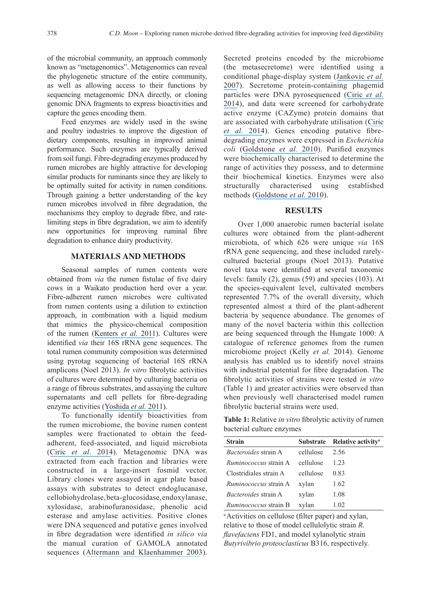of the microbial community, an approach commonly known as "metagenomics". Metagenomics can reveal the phylogenetic structure of the entire community, as well as allowing access to their functions by sequencing metagenomic DNA directly, or cloning genomic DNA fragments to express bioactivities and capture the genes encoding them.

Feed enzymes are widely used in the swine and poultry industries to improve the digestion of dietary components, resulting in improved animal performance. Such enzymes are typically derived from soil fungi. Fibre-degrading enzymes produced by rumen microbes are highly attractive for developing similar products for ruminants since they are likely to be optimally suited for activity in rumen conditions. Through gaining a better understanding of the key rumen microbes involved in fibre degradation, the mechanisms they employ to degrade fibre, and ratelimiting steps in fibre degradation, we aim to identify new opportunities for improving ruminal fibre degradation to enhance dairy productivity.

### **MATERIALS AND METHODS**

Seasonal samples of rumen contents were obtained from *via* the rumen fistulae of five dairy cows in a Waikato production herd over a year. Fibre-adherent rumen microbes were cultivated from rumen contents using a dilution to extinction approach, in combination with a liquid medium that mimics the physico-chemical composition of the rumen ([Kenters](https://www.researchgate.net/publication/47633504_Isolation_of_previously_uncultured_rumen_bacteria_by_dilution_to_extinction_using_a_new_liquid_culture_medium?el=1_x_8&enrichId=rgreq-cc441ab44678a7bee944a514b764ec87-XXX&enrichSource=Y292ZXJQYWdlOzI2ODAzNTMwNztBUzoxNjE2OTcyNTU5Mjc4MDlAMTQxNTU2MzAzODA3OQ==) *et al.* 2011). Cultures were identified *via* their 16S rRNA gene sequences. The total rumen community composition was determined using pyrotag sequencing of bacterial 16S rRNA amplicons (Noel 2013). *In vitro* fibrolytic activities of cultures were determined by culturing bacteria on a range of fibrous substrates, and assaying the culture supernatants and cell pellets for fibre-degrading enzyme activities ([Yoshida](https://www.researchgate.net/publication/50407846_Structural_and_Functional_Analyses_of_a_Glycoside_Hydrolase_Family_5_Enzyme_with_an_Unexpected_b-Fucosidase_Activity?el=1_x_8&enrichId=rgreq-cc441ab44678a7bee944a514b764ec87-XXX&enrichSource=Y292ZXJQYWdlOzI2ODAzNTMwNztBUzoxNjE2OTcyNTU5Mjc4MDlAMTQxNTU2MzAzODA3OQ==) *et al.* 2011).

To functionally identify bioactivities from the rumen microbiome, the bovine rumen content samples were fractionated to obtain the feedadherent, feed-associated, and liquid microbiota (Ciric *et al*[. 2014](https://www.researchgate.net/publication/262789195_Metasecretome-selective_phage_display_approach_for_mining_the_functional_potential_of_a_rumen_microbial_community?el=1_x_8&enrichId=rgreq-cc441ab44678a7bee944a514b764ec87-XXX&enrichSource=Y292ZXJQYWdlOzI2ODAzNTMwNztBUzoxNjE2OTcyNTU5Mjc4MDlAMTQxNTU2MzAzODA3OQ==)). Metagenomic DNA was extracted from each fraction and libraries were constructed in a large-insert fosmid vector. Library clones were assayed in agar plate based assays with substrates to detect endoglucanase, cellobiohydrolase, beta-glucosidase, endoxylanase, xylosidase, arabinofuranosidase, phenolic acid esterase and amylase activities. Positive clones were DNA sequenced and putative genes involved in fibre degradation were identified *in silico via* the manual curation of GAMOLA annotated sequences ([Altermann and Klaenhammer 2003](https://www.researchgate.net/publication/9082571_GAMOLA_A_New_Local_Solution_for_Sequence_Annotation_and_Analyzing_Draft_and_Finished_Prokaryotic_Genomes?el=1_x_8&enrichId=rgreq-cc441ab44678a7bee944a514b764ec87-XXX&enrichSource=Y292ZXJQYWdlOzI2ODAzNTMwNztBUzoxNjE2OTcyNTU5Mjc4MDlAMTQxNTU2MzAzODA3OQ==)).

Secreted proteins encoded by the microbiome (the metasecretome) were identified using a conditional phage-display system ([Jankovic](https://www.researchgate.net/publication/5769126_Direct_selection_and_phage_display_of_a_Gram-positive_secretome?el=1_x_8&enrichId=rgreq-cc441ab44678a7bee944a514b764ec87-XXX&enrichSource=Y292ZXJQYWdlOzI2ODAzNTMwNztBUzoxNjE2OTcyNTU5Mjc4MDlAMTQxNTU2MzAzODA3OQ==) *et al.* [2007](https://www.researchgate.net/publication/5769126_Direct_selection_and_phage_display_of_a_Gram-positive_secretome?el=1_x_8&enrichId=rgreq-cc441ab44678a7bee944a514b764ec87-XXX&enrichSource=Y292ZXJQYWdlOzI2ODAzNTMwNztBUzoxNjE2OTcyNTU5Mjc4MDlAMTQxNTU2MzAzODA3OQ==)). Secretome protein-containing phagemid particles were DNA pyrosequenced (Ciric *[et al.](https://www.researchgate.net/publication/262789195_Metasecretome-selective_phage_display_approach_for_mining_the_functional_potential_of_a_rumen_microbial_community?el=1_x_8&enrichId=rgreq-cc441ab44678a7bee944a514b764ec87-XXX&enrichSource=Y292ZXJQYWdlOzI2ODAzNTMwNztBUzoxNjE2OTcyNTU5Mjc4MDlAMTQxNTU2MzAzODA3OQ==)* [2014](https://www.researchgate.net/publication/262789195_Metasecretome-selective_phage_display_approach_for_mining_the_functional_potential_of_a_rumen_microbial_community?el=1_x_8&enrichId=rgreq-cc441ab44678a7bee944a514b764ec87-XXX&enrichSource=Y292ZXJQYWdlOzI2ODAzNTMwNztBUzoxNjE2OTcyNTU5Mjc4MDlAMTQxNTU2MzAzODA3OQ==)), and data were screened for carbohydrate active enzyme (CAZyme) protein domains that are associated with carbohydrate utilisation ([Ciric](https://www.researchgate.net/publication/262789195_Metasecretome-selective_phage_display_approach_for_mining_the_functional_potential_of_a_rumen_microbial_community?el=1_x_8&enrichId=rgreq-cc441ab44678a7bee944a514b764ec87-XXX&enrichSource=Y292ZXJQYWdlOzI2ODAzNTMwNztBUzoxNjE2OTcyNTU5Mjc4MDlAMTQxNTU2MzAzODA3OQ==) *[et al.](https://www.researchgate.net/publication/262789195_Metasecretome-selective_phage_display_approach_for_mining_the_functional_potential_of_a_rumen_microbial_community?el=1_x_8&enrichId=rgreq-cc441ab44678a7bee944a514b764ec87-XXX&enrichSource=Y292ZXJQYWdlOzI2ODAzNTMwNztBUzoxNjE2OTcyNTU5Mjc4MDlAMTQxNTU2MzAzODA3OQ==)* 2014). Genes encoding putative fibredegrading enzymes were expressed in *Escherichia coli* ([Goldstone](https://www.researchgate.net/publication/40896213_Structural_and_functional_characterization_of_a_promiscuous_feruloyl_esterase_Est1E_from_the_rumen_bacterium_Butyrivibrio_proteoclasticus?el=1_x_8&enrichId=rgreq-cc441ab44678a7bee944a514b764ec87-XXX&enrichSource=Y292ZXJQYWdlOzI2ODAzNTMwNztBUzoxNjE2OTcyNTU5Mjc4MDlAMTQxNTU2MzAzODA3OQ==) *et al.* 2010). Purified enzymes were biochemically characterised to determine the range of activities they possess, and to determine their biochemical kinetics. Enzymes were also structurally characterised using established methods ([Goldstone](https://www.researchgate.net/publication/40896213_Structural_and_functional_characterization_of_a_promiscuous_feruloyl_esterase_Est1E_from_the_rumen_bacterium_Butyrivibrio_proteoclasticus?el=1_x_8&enrichId=rgreq-cc441ab44678a7bee944a514b764ec87-XXX&enrichSource=Y292ZXJQYWdlOzI2ODAzNTMwNztBUzoxNjE2OTcyNTU5Mjc4MDlAMTQxNTU2MzAzODA3OQ==) *et al.* 2010).

## **RESULTS**

Over 1,000 anaerobic rumen bacterial isolate cultures were obtained from the plant-adherent microbiota, of which 626 were unique *via* 16S rRNA gene sequencing, and these included rarelycultured bacterial groups (Noel 2013). Putative novel taxa were identified at several taxonomic levels: family (2), genus (59) and species (103). At the species-equivalent level, cultivated members represented 7.7% of the overall diversity, which represented almost a third of the plant-adherent bacteria by sequence abundance. The genomes of many of the novel bacteria within this collection are being sequenced through the Hungate 1000: A catalogue of reference genomes from the rumen microbiome project (Kelly *et al.* 2014). Genome analysis has enabled us to identify novel strains with industrial potential for fibre degradation. The fibrolytic activities of strains were tested *in vitro* (Table 1) and greater activities were observed than when previously well characterised model rumen fibrolytic bacterial strains were used.

**Table 1:** Relative *in vitro* fibrolytic activity of rumen bacterial culture enzymes

| <b>Strain</b>                |           | Substrate Relative activity <sup>a</sup> |
|------------------------------|-----------|------------------------------------------|
| <i>Bacteroides</i> strain A  | cellulose | 2.56                                     |
| <i>Ruminococcus</i> strain A | cellulose | 1 23                                     |
| Clostridiales strain A       | cellulose | 0.83                                     |
| Ruminococcus strain A        | xylan     | 1.62                                     |
| <i>Bacteroides</i> strain A  | xylan     | 1.08                                     |
| Ruminococcus strain B        | xylan     | 1.02                                     |

<sup>a</sup> Activities on cellulose (filter paper) and xylan, relative to those of model cellulolytic strain *R. flavefaciens* FD1, and model xylanolytic strain *Butyrivibrio proteoclasticus* B316, respectively.